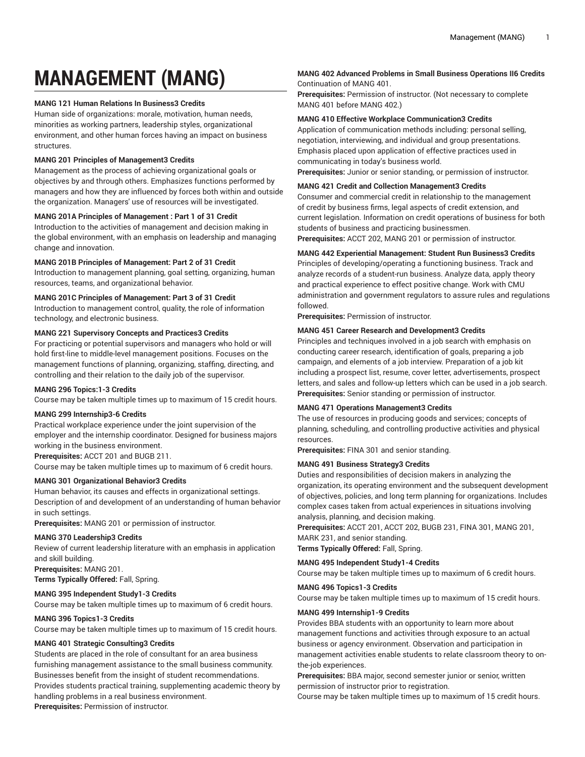# **MANAGEMENT (MANG)**

## **MANG 121 Human Relations In Business3 Credits**

Human side of organizations: morale, motivation, human needs, minorities as working partners, leadership styles, organizational environment, and other human forces having an impact on business structures.

## **MANG 201 Principles of Management3 Credits**

Management as the process of achieving organizational goals or objectives by and through others. Emphasizes functions performed by managers and how they are influenced by forces both within and outside the organization. Managers' use of resources will be investigated.

## **MANG 201A Principles of Management : Part 1 of 31 Credit**

Introduction to the activities of management and decision making in the global environment, with an emphasis on leadership and managing change and innovation.

## **MANG 201B Principles of Management: Part 2 of 31 Credit**

Introduction to management planning, goal setting, organizing, human resources, teams, and organizational behavior.

## **MANG 201C Principles of Management: Part 3 of 31 Credit**

Introduction to management control, quality, the role of information technology, and electronic business.

## **MANG 221 Supervisory Concepts and Practices3 Credits**

For practicing or potential supervisors and managers who hold or will hold first-line to middle-level management positions. Focuses on the management functions of planning, organizing, staffing, directing, and controlling and their relation to the daily job of the supervisor.

## **MANG 296 Topics:1-3 Credits**

Course may be taken multiple times up to maximum of 15 credit hours.

## **MANG 299 Internship3-6 Credits**

Practical workplace experience under the joint supervision of the employer and the internship coordinator. Designed for business majors working in the business environment.

**Prerequisites:** ACCT 201 and BUGB 211.

Course may be taken multiple times up to maximum of 6 credit hours.

## **MANG 301 Organizational Behavior3 Credits**

Human behavior, its causes and effects in organizational settings. Description of and development of an understanding of human behavior in such settings.

**Prerequisites:** MANG 201 or permission of instructor.

## **MANG 370 Leadership3 Credits**

Review of current leadership literature with an emphasis in application and skill building.

**Prerequisites:** MANG 201.

**Terms Typically Offered:** Fall, Spring.

## **MANG 395 Independent Study1-3 Credits**

Course may be taken multiple times up to maximum of 6 credit hours.

## **MANG 396 Topics1-3 Credits**

Course may be taken multiple times up to maximum of 15 credit hours.

## **MANG 401 Strategic Consulting3 Credits**

Students are placed in the role of consultant for an area business furnishing management assistance to the small business community. Businesses benefit from the insight of student recommendations. Provides students practical training, supplementing academic theory by handling problems in a real business environment.

#### **Prerequisites:** Permission of instructor.

## **MANG 402 Advanced Problems in Small Business Operations II6 Credits** Continuation of MANG 401.

**Prerequisites:** Permission of instructor. (Not necessary to complete MANG 401 before MANG 402.)

## **MANG 410 Effective Workplace Communication3 Credits**

Application of communication methods including: personal selling, negotiation, interviewing, and individual and group presentations. Emphasis placed upon application of effective practices used in communicating in today's business world.

**Prerequisites:** Junior or senior standing, or permission of instructor.

#### **MANG 421 Credit and Collection Management3 Credits**

Consumer and commercial credit in relationship to the management of credit by business firms, legal aspects of credit extension, and current legislation. Information on credit operations of business for both students of business and practicing businessmen.

**Prerequisites:** ACCT 202, MANG 201 or permission of instructor.

## **MANG 442 Experiential Management: Student Run Business3 Credits**

Principles of developing/operating a functioning business. Track and analyze records of a student-run business. Analyze data, apply theory and practical experience to effect positive change. Work with CMU administration and government regulators to assure rules and regulations followed.

**Prerequisites:** Permission of instructor.

## **MANG 451 Career Research and Development3 Credits**

Principles and techniques involved in a job search with emphasis on conducting career research, identification of goals, preparing a job campaign, and elements of a job interview. Preparation of a job kit including a prospect list, resume, cover letter, advertisements, prospect letters, and sales and follow-up letters which can be used in a job search. **Prerequisites:** Senior standing or permission of instructor.

## **MANG 471 Operations Management3 Credits**

The use of resources in producing goods and services; concepts of planning, scheduling, and controlling productive activities and physical resources.

**Prerequisites:** FINA 301 and senior standing.

## **MANG 491 Business Strategy3 Credits**

Duties and responsibilities of decision makers in analyzing the organization, its operating environment and the subsequent development of objectives, policies, and long term planning for organizations. Includes complex cases taken from actual experiences in situations involving analysis, planning, and decision making.

**Prerequisites:** ACCT 201, ACCT 202, BUGB 231, FINA 301, MANG 201, MARK 231, and senior standing.

**Terms Typically Offered:** Fall, Spring.

## **MANG 495 Independent Study1-4 Credits**

Course may be taken multiple times up to maximum of 6 credit hours.

## **MANG 496 Topics1-3 Credits**

Course may be taken multiple times up to maximum of 15 credit hours.

#### **MANG 499 Internship1-9 Credits**

Provides BBA students with an opportunity to learn more about management functions and activities through exposure to an actual business or agency environment. Observation and participation in management activities enable students to relate classroom theory to onthe-job experiences.

**Prerequisites:** BBA major, second semester junior or senior, written permission of instructor prior to registration.

Course may be taken multiple times up to maximum of 15 credit hours.